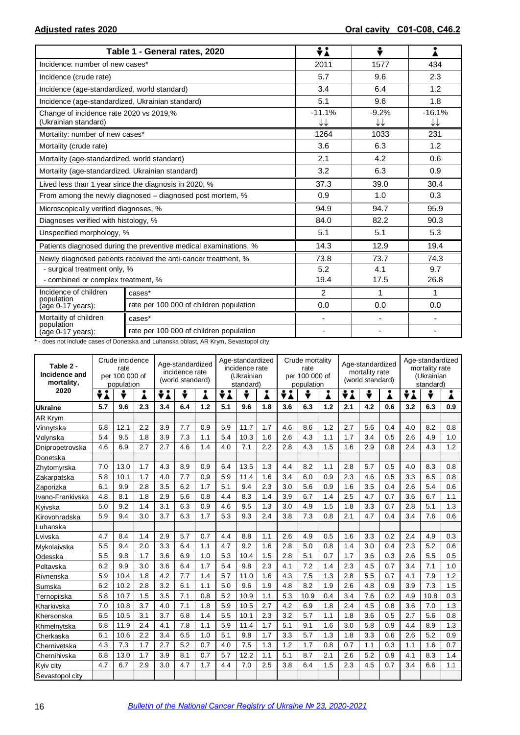|                                                                 | Table 1 - General rates, 2020                                    | ÷i             | ÷                        |                                    |
|-----------------------------------------------------------------|------------------------------------------------------------------|----------------|--------------------------|------------------------------------|
| Incidence: number of new cases*                                 |                                                                  | 2011           | 1577                     | 434                                |
| Incidence (crude rate)                                          |                                                                  | 5.7            | 9.6                      | 2.3                                |
| Incidence (age-standardized, world standard)                    |                                                                  | 3.4            | 6.4                      | 1.2                                |
| Incidence (age-standardized, Ukrainian standard)                |                                                                  | 5.1            | 9.6                      | 1.8                                |
| Change of incidence rate 2020 vs 2019,%<br>(Ukrainian standard) |                                                                  | $-11.1%$<br>↓↓ | $-9.2%$<br>↓↓            | $-16.1%$<br>$\downarrow\downarrow$ |
| Mortality: number of new cases*                                 |                                                                  | 1264           | 1033                     | 231                                |
| Mortality (crude rate)                                          |                                                                  | 3.6            | 6.3                      | 1.2                                |
| Mortality (age-standardized, world standard)                    |                                                                  | 2.1            | 4.2                      | 0.6                                |
| Mortality (age-standardized, Ukrainian standard)                |                                                                  | 3.2            | 6.3                      | 0.9                                |
|                                                                 | Lived less than 1 year since the diagnosis in 2020, %            | 37.3           | 39.0                     | 30.4                               |
|                                                                 | From among the newly diagnosed – diagnosed post mortem, %        | 0.9            | 1.0                      | 0.3                                |
| Microscopically verified diagnoses, %                           |                                                                  | 94.9           | 94.7                     | 95.9                               |
| Diagnoses verified with histology, %                            |                                                                  | 84.0           | 82.2                     | 90.3                               |
| Unspecified morphology, %                                       |                                                                  | 5.1            | 5.1                      | 5.3                                |
|                                                                 | Patients diagnosed during the preventive medical examinations, % | 14.3           | 12.9                     | 19.4                               |
|                                                                 | Newly diagnosed patients received the anti-cancer treatment, %   | 73.8           | 73.7                     | 74.3                               |
| - surgical treatment only, %                                    |                                                                  | 5.2            | 4.1                      | 9.7                                |
| - combined or complex treatment, %                              |                                                                  | 19.4           | 17.5                     | 26.8                               |
| Incidence of children<br>population                             | cases*                                                           | 2              | 1                        | 1                                  |
| (age 0-17 years):                                               | rate per 100 000 of children population                          | 0.0            | 0.0                      | 0.0                                |
| Mortality of children                                           | cases*                                                           | $\blacksquare$ | $\overline{\phantom{m}}$ | $\blacksquare$                     |
| population<br>(age 0-17 years):                                 | rate per 100 000 of children population                          | ä,             | $\blacksquare$           |                                    |

\* - does not include cases of Donetska and Luhanska oblast, AR Krym, Sevastopol city

| Table 2 -<br>Incidence and<br>mortality, | Crude incidence<br>rate<br>per 100 000 of<br>population |      |     | Age-standardized<br>incidence rate<br>(world standard) |     |     | Age-standardized<br>incidence rate<br>(Ukrainian<br>standard) |      |     | Crude mortality<br>rate<br>per 100 000 of<br>population |      |     | Age-standardized<br>mortality rate<br>(world standard) |     |     | Age-standardized<br>mortality rate<br>(Ukrainian<br>standard) |      |     |
|------------------------------------------|---------------------------------------------------------|------|-----|--------------------------------------------------------|-----|-----|---------------------------------------------------------------|------|-----|---------------------------------------------------------|------|-----|--------------------------------------------------------|-----|-----|---------------------------------------------------------------|------|-----|
| 2020                                     | ÷i                                                      | ÷    |     | ÷λ                                                     | ▼   | i   | ÷i                                                            | ÷    | Å   | ÷λ                                                      |      | i   | ÷i<br>÷<br>Å                                           |     |     | ÷i                                                            | ÷    | Ā   |
| <b>Ukraine</b>                           | 5.7                                                     | 9.6  | 2.3 | 3.4                                                    | 6.4 | 1.2 | 5.1                                                           | 9.6  | 1.8 | 3.6                                                     | 6.3  | 1.2 | 2.1                                                    | 4.2 | 0.6 | 3.2                                                           | 6.3  | 0.9 |
| AR Krym                                  |                                                         |      |     |                                                        |     |     |                                                               |      |     |                                                         |      |     |                                                        |     |     |                                                               |      |     |
| Vinnytska                                | 6.8                                                     | 12.1 | 2.2 | 3.9                                                    | 7.7 | 0.9 | 5.9                                                           | 11.7 | 1.7 | 4.6                                                     | 8.6  | 1.2 | 2.7                                                    | 5.6 | 0.4 | 4.0                                                           | 8.2  | 0.8 |
| Volynska                                 | 5.4                                                     | 9.5  | 1.8 | 3.9                                                    | 7.3 | 1.1 | 5.4                                                           | 10.3 | 1.6 | 2.6                                                     | 4.3  | 1.1 | 1.7                                                    | 3.4 | 0.5 | 2.6                                                           | 4.9  | 1.0 |
| Dnipropetrovska                          | 4.6                                                     | 6.9  | 2.7 | 2.7                                                    | 4.6 | 1.4 | 4.0                                                           | 7.1  | 2.2 | 2.8                                                     | 4.3  | 1.5 | 1.6                                                    | 2.9 | 0.8 | 2.4                                                           | 4.3  | 1.2 |
| Donetska                                 |                                                         |      |     |                                                        |     |     |                                                               |      |     |                                                         |      |     |                                                        |     |     |                                                               |      |     |
| Zhytomyrska                              | 7.0                                                     | 13.0 | 1.7 | 4.3                                                    | 8.9 | 0.9 | 6.4                                                           | 13.5 | 1.3 | 4.4                                                     | 8.2  | 1.1 | 2.8                                                    | 5.7 | 0.5 | 4.0                                                           | 8.3  | 0.8 |
| Zakarpatska                              | 5.8                                                     | 10.1 | 1.7 | 4.0                                                    | 7.7 | 0.9 | 5.9                                                           | 11.4 | 1.6 | 3.4                                                     | 6.0  | 0.9 | 2.3                                                    | 4.6 | 0.5 | 3.3                                                           | 6.5  | 0.8 |
| Zaporizka                                | 6.1                                                     | 9.9  | 2.8 | 3.5                                                    | 6.2 | 1.7 | 5.1                                                           | 9.4  | 2.3 | 3.0                                                     | 5.6  | 0.9 | 1.6                                                    | 3.5 | 0.4 | 2.6                                                           | 5.4  | 0.6 |
| Ivano-Frankivska                         | 4.8                                                     | 8.1  | 1.8 | 2.9                                                    | 5.6 | 0.8 | 4.4                                                           | 8.3  | 1.4 | 3.9                                                     | 6.7  | 1.4 | 2.5                                                    | 4.7 | 0.7 | 3.6                                                           | 6.7  | 1.1 |
| Kyivska                                  | 5.0                                                     | 9.2  | 1.4 | 3.1                                                    | 6.3 | 0.9 | 4.6                                                           | 9.5  | 1.3 | 3.0                                                     | 4.9  | 1.5 | 1.8                                                    | 3.3 | 0.7 | 2.8                                                           | 5.1  | 1.3 |
| Kirovohradska                            | 5.9                                                     | 9.4  | 3.0 | 3.7                                                    | 6.3 | 1.7 | 5.3                                                           | 9.3  | 2.4 | 3.8                                                     | 7.3  | 0.8 | 2.1                                                    | 4.7 | 0.4 | 3.4                                                           | 7.6  | 0.6 |
| Luhanska                                 |                                                         |      |     |                                                        |     |     |                                                               |      |     |                                                         |      |     |                                                        |     |     |                                                               |      |     |
| Lvivska                                  | 4.7                                                     | 8.4  | 1.4 | 2.9                                                    | 5.7 | 0.7 | 4.4                                                           | 8.8  | 1.1 | 2.6                                                     | 4.9  | 0.5 | 1.6                                                    | 3.3 | 0.2 | 2.4                                                           | 4.9  | 0.3 |
| Mvkolaivska                              | 5.5                                                     | 9.4  | 2.0 | 3.3                                                    | 6.4 | 1.1 | 4.7                                                           | 9.2  | 1.6 | 2.8                                                     | 5.0  | 0.8 | 1.4                                                    | 3.0 | 0.4 | 2.3                                                           | 5.2  | 0.6 |
| Odesska                                  | 5.5                                                     | 9.8  | 1.7 | 3.6                                                    | 6.9 | 1.0 | 5.3                                                           | 10.4 | 1.5 | 2.8                                                     | 5.1  | 0.7 | 1.7                                                    | 3.6 | 0.3 | 2.6                                                           | 5.5  | 0.5 |
| Poltavska                                | 6.2                                                     | 9.9  | 3.0 | 3.6                                                    | 6.4 | 1.7 | 5.4                                                           | 9.8  | 2.3 | 4.1                                                     | 7.2  | 1.4 | 2.3                                                    | 4.5 | 0.7 | 3.4                                                           | 7.1  | 1.0 |
| Rivnenska                                | 5.9                                                     | 10.4 | 1.8 | 4.2                                                    | 7.7 | 1.4 | 5.7                                                           | 11.0 | 1.6 | 4.3                                                     | 7.5  | 1.3 | 2.8                                                    | 5.5 | 0.7 | 4.1                                                           | 7.9  | 1.2 |
| Sumska                                   | 6.2                                                     | 10.2 | 2.8 | 3.2                                                    | 6.1 | 1.1 | 5.0                                                           | 9.6  | 1.9 | 4.8                                                     | 8.2  | 1.9 | 2.6                                                    | 4.8 | 0.9 | 3.9                                                           | 7.3  | 1.5 |
| Ternopilska                              | 5.8                                                     | 10.7 | 1.5 | 3.5                                                    | 7.1 | 0.8 | 5.2                                                           | 10.9 | 1.1 | 5.3                                                     | 10.9 | 0.4 | 3.4                                                    | 7.6 | 0.2 | 4.9                                                           | 10.8 | 0.3 |
| Kharkivska                               | 7.0                                                     | 10.8 | 3.7 | 4.0                                                    | 7.1 | 1.8 | 5.9                                                           | 10.5 | 2.7 | 4.2                                                     | 6.9  | 1.8 | 2.4                                                    | 4.5 | 0.8 | 3.6                                                           | 7.0  | 1.3 |
| Khersonska                               | 6.5                                                     | 10.5 | 3.1 | 3.7                                                    | 6.8 | 1.4 | 5.5                                                           | 10.1 | 2.3 | 3.2                                                     | 5.7  | 1.1 | 1.8                                                    | 3.6 | 0.5 | 2.7                                                           | 5.6  | 0.8 |
| Khmelnytska                              | 6.8                                                     | 11.9 | 2.4 | 4.1                                                    | 7.8 | 1.1 | 5.9                                                           | 11.4 | 1.7 | 5.1                                                     | 9.1  | 1.6 | 3.0                                                    | 5.8 | 0.9 | 4.4                                                           | 8.9  | 1.3 |
| Cherkaska                                | 6.1                                                     | 10.6 | 2.2 | 3.4                                                    | 6.5 | 1.0 | 5.1                                                           | 9.8  | 1.7 | 3.3                                                     | 5.7  | 1.3 | 1.8                                                    | 3.3 | 0.6 | 2.6                                                           | 5.2  | 0.9 |
| Chernivetska                             | 4.3                                                     | 7.3  | 1.7 | 2.7                                                    | 5.2 | 0.7 | 4.0                                                           | 7.5  | 1.3 | 1.2                                                     | 1.7  | 0.8 | 0.7                                                    | 1.1 | 0.3 | 1.1                                                           | 1.6  | 0.7 |
| Chernihivska                             | 6.8                                                     | 13.0 | 1.7 | 3.9                                                    | 8.1 | 0.7 | 5.7                                                           | 12.2 | 1.1 | 5.1                                                     | 8.7  | 2.1 | 2.6                                                    | 5.2 | 0.9 | 4.1                                                           | 8.3  | 1.4 |
| Kyiv city                                | 4.7                                                     | 6.7  | 2.9 | 3.0                                                    | 4.7 | 1.7 | 4.4                                                           | 7.0  | 2.5 | 3.8                                                     | 6.4  | 1.5 | 2.3                                                    | 4.5 | 0.7 | 3.4                                                           | 6.6  | 1.1 |
| Sevastopol city                          |                                                         |      |     |                                                        |     |     |                                                               |      |     |                                                         |      |     |                                                        |     |     |                                                               |      |     |